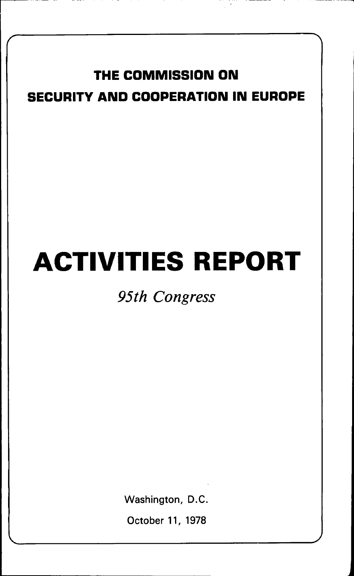## THE COMMISSION ON SECURITY AND COOPERATION IN EUROPE

# ACTIVITIES REPORT

## *95th Congress*

Washington, D.C.

October 11, 1978

 $\overline{\phantom{a}}$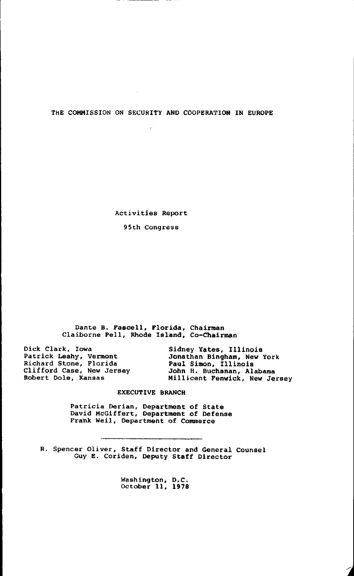THE COMMISSION ON SECURITY AND COOPERATION IN EUROPE

 $\cdot$ 

Activities Report

95th Congress

Dante B. Fascell, Florida, Chairman Claiborne Pell, Rhode Island, Co-Chairman

| Sidney Yates, Illinois        |  |  |
|-------------------------------|--|--|
| Jonathan Bingham, New York    |  |  |
| Paul Simon, Illinois          |  |  |
| John H. Buchanan, Alabama     |  |  |
| Millicent Penwick, New Jersey |  |  |
|                               |  |  |

#### EXECUTIVE BRANCH

Patricia Derian, Department of State David McGiffert, Department of Defense Frank Weil, Department of Commerce

R. Spencer Oliver, Staff Director and General Counsel Guy E. Coriden, Deputy Staff Director

Washington, D.C. October 11, 1978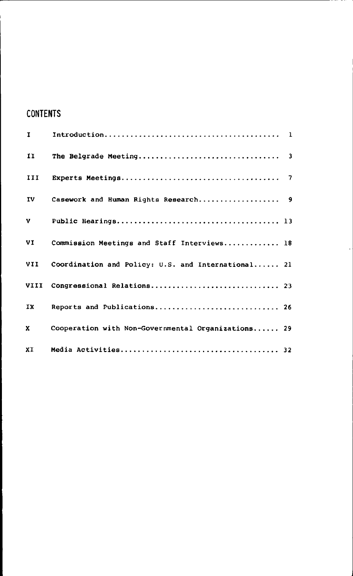### CONTENTS

| $\mathbf{I}$ |                                                    |  |
|--------------|----------------------------------------------------|--|
| $\mathbf{I}$ |                                                    |  |
| III          |                                                    |  |
| IV           |                                                    |  |
| v            |                                                    |  |
| VI           | Commission Meetings and Staff Interviews 18        |  |
| VII.         | Coordination and Policy: U.S. and International 21 |  |
| VIII         |                                                    |  |
| IX           | Reports and Publications 26                        |  |
| x            | Cooperation with Non-Governmental Organizations 29 |  |
| XI           |                                                    |  |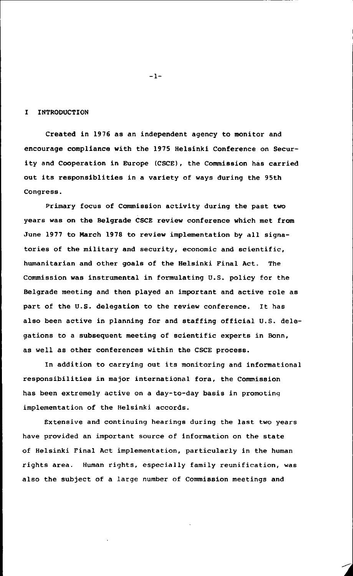#### I INTRODUCTION

Created in 1976 as an independent agency to monitor and encourage compliance with the 1975 Helsinki Conference on Security and Cooperation in Europe (CSCE), the Commission has carried out its responsiblities in a variety of ways during the 95th Congress.

Primary focus of Commission activity during the past two years was on the Belgrade CSCE review conference which met from June 1977 to March 1978 to review implementation by all signatories of the military and security, economic and scientific, humanitarian and other goals of the Helsinki Final Act. The Commission was instrumental in formulating U.S. policy for the Belgrade meeting and then played an important and active role as part of the U.S. delegation to the review conference. It has also been active in planning for and staffing official U.S. delegations to a subsequent meeting of scientific experts in Bonn, as well as other conferences within the CSCE process.

In addition to carrying out its monitoring and informational responsibilities in major international fora, the Commission has been extremely active on a day-to-day basis in promoting implementation of the Helsinki accords.

Extensive and continuing hearings during the last two years have provided an important source of information on the state of Helsinki Final Act implementation, particularly in the human rights area. Human rights, especially family reunification, was also the subject of a large number of Commission meetings and

-1-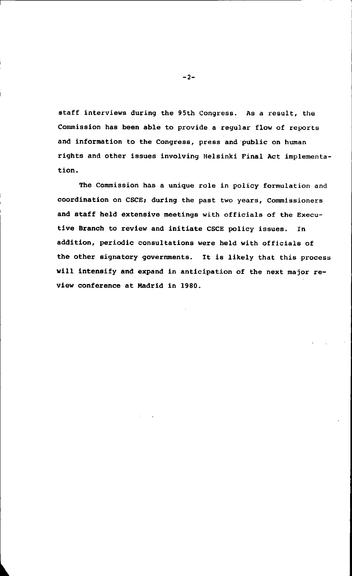staff interviews during the 95th Congress. As a result, the Commission has been able to provide a regular flow of reports and information to the Congress, press and public on human rights and other issues involving Helsinki Final Act implementation.

The Commission has a unique role in policy formulation and coordination on CSCE; during the past two years, Commissioners and staff held extensive meetings with officials of the Executive Branch to review and initiate CSCE policy issues. In addition, periodic consultations were held with officials of the other signatory governments. It is likely that this process will intensify and expand in anticipation of the next major review conference at Madrid in 1980.

-2-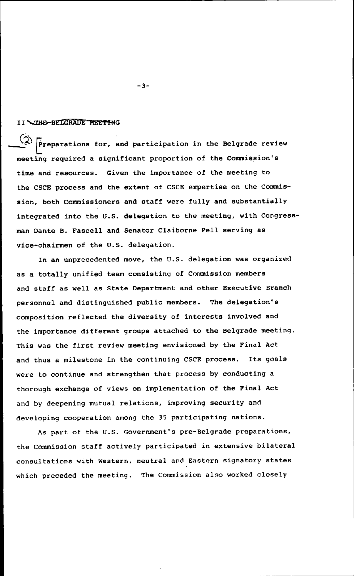#### II \THE-BELGRADE MEETING

 $\bar{\mathrm{F}}$ reparations for, and participation in the Belgrade review meeting required a significant proportion of the Commission's time and resources. Given the importance of the meeting to the CSCE process and the extent of CSCE expertise on the Commission, both Commissioners and staff were fully and substantially integrated into the U.S. delegation to the meeting, with Congressman Dante B. Fascell and Senator Claiborne Pell serving as vice-chairmen of the U.S. delegation.

In an unprecedented move, the U.S. delegation was organized as a totally unified team consisting of Commission members and staff as well as State Department and other Executive Branch personnel and distinguished public members. The delegation's composition reflected the diversity of interests involved and the importance different groups attached to the Belgrade meeting. This was the first review meeting envisioned by the Final Act and thus a milestone in the continuing CSCE process. Its goals were to continue and strengthen that process by conducting a thorough exchange of views on implementation of the Final Act and by deepening mutual relations, improving security and developing cooperation among the 35 participating nations.

As part of the U.S. Government's pre-Belgrade preparations, the Commission staff actively participated in extensive bilateral consultations with Western, neutral and Eastern signatory states which preceded the meeting. The Commission also worked closely

-3-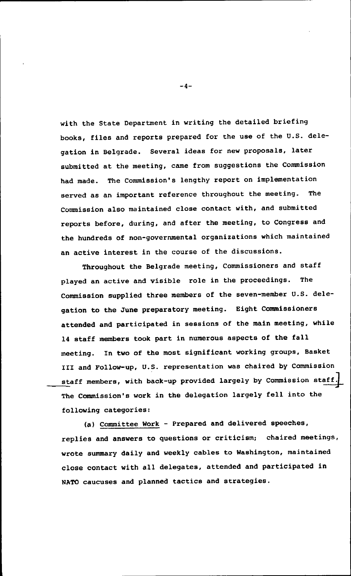with the State Department in writing the detailed briefing books, files and reports prepared for the use of the U.S. delegation in Belgrade. Several ideas for new proposals, later submitted at the meeting, came from suggestions the Commission had made. The Commission's lengthy report on implementation served as an important reference throughout the meeting. The Commission also maintained close contact with, and submitted reports before, during, and after the meeting, to Congress and the hundreds of non-governmental organizations which maintained an active interest in the course of the discussions.

Throughout the Belgrade meeting, Commissioners and staff played an active and visible role in the proceedings. The Commission supplied three members of the seven-member U.S. delegation to the June preparatory meeting. Eight Commissioners attended and participated in sessions of the main meeting, while 14 staff members took part in numerous aspects of the fall meeting. In two of the most significant working groups, Basket III and Follow-up, U.S. representation was chaired by Commission staff members, with back-up provided largely by Commission staff. The Commission's work in the delegation largely fell into the following categories:

(a) Committee Work - Prepared and delivered speeches, replies and answers to questions or criticism; chaired meetings, wrote summary daily and weekly cables to Washington, maintained close contact with all delegates, attended and participated in NATO caucuses and planned tactics and strategies.

-4-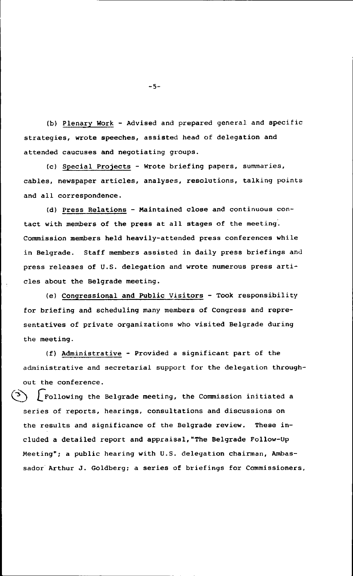(b) Plenary Work - Advised and prepared general and specific strategies, wrote speeches, assisted head of delegation and attended caucuses and negotiating groups.

(c) Special Projects - Wrote briefing papers, summaries, cables, newspaper articles, analyses, resolutions, talking points and all correspondence.

(d) Press Relations - Maintained close and continuous contact with members of the press at all stages of the meeting. Commission members held heavily-attended press conferences while in Belgrade. Staff members assisted in daily press briefings and press releases of U.S. delegation and wrote numerous press articles about the Belgrade meeting.

(e) Congressional and Public Visitors - Took responsibility for briefing and scheduling many members of Congress and representatives of private organizations who visited Belgrade during the meeting.

(f) Administrative - Provided a significant part of the administrative and secretarial support for the delegation throughout the conference.

 $\int$  Following the Belgrade meeting, the Commission initiated a series of reports, hearings, consultations and discussions on the results and significance of the Belgrade review. These included a detailed report and appraisal,"The Belgrade Follow-Up Meeting"; a public hearing with U.S. delegation chairman, Ambassador Arthur J. Goldberg; a series of briefings for Commissioners,

-5-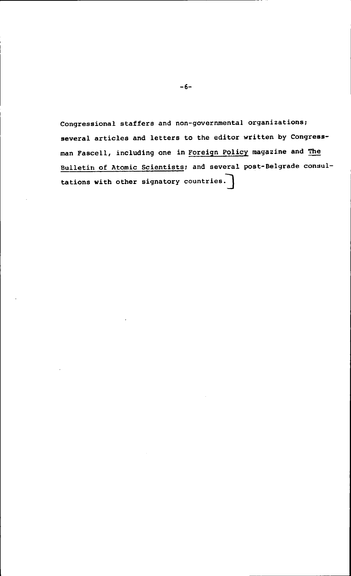Congressional staffers and non-governmental organizations; several articles and letters to the editor written by Congressman Fascell, including one in Foreign Policy magazine and The Bulletin of Atomic Scientists; and several post-Belgrade consultations with other signatory countries.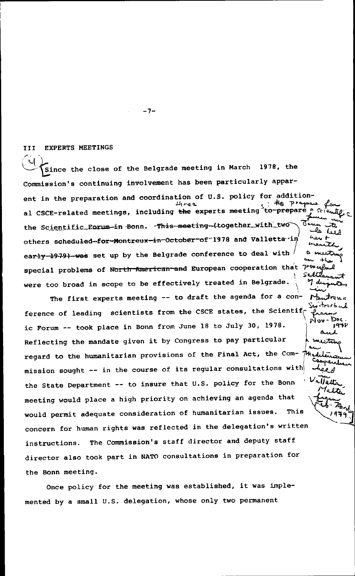III EXPERTS MEETINGS

 $\cup$ Since the close of the Belgrade meeting in March 1978, the Commission's continuing involvement has been particularly apparent in the preparation and coordination of U.S. policy for addition-<br> $\mu_{VQQ}$ al CSCE-related meetings, including the experts meeting to-prepare the Scientific Forum-in Bonn. -This-meeting-(together with two others scheduled-for-Montreux-in-October-of-1978 and Valletta-in the Lu early-1979) was set up by the Belgrade conference to deal with special problems of North-American-and European cooperation that  $70$ were too broad in scope to be effectively treated in Belgrade.

The first experts meeting -- to draft the agenda for a conference of leading scientists from the CSCE states, the Scientiff ic Forum -- took place in Bonn from June 18 to July 30, 1978. Reflecting the mandate given it by Congress to pay particular regard to the humanitarian provisions of the Final Act, the Commission sought -- in the course of its regular consultations with| the State Department -- to insure that U.S. policy for the Bonn عاباقلاه meeting would place a high priority on achieving an agenda that would permit adequate consideration of humanitarian issues. This concern for human rights was reflected in the delegation's written instructions. The Commission's staff director and deputy staff director also took part in NATO consultations in preparation for the Bonn meeting.

Once policy for the meeting was established, it was implemented by a small U.S. delegation, whose only two permanent

-7-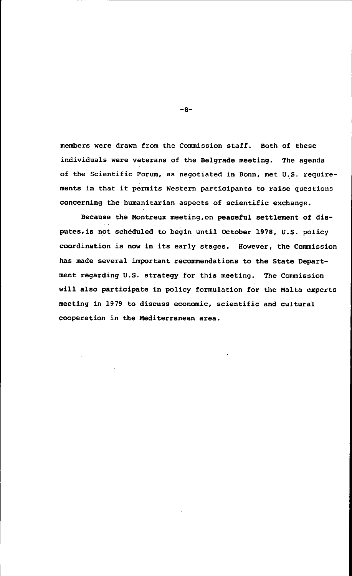members were drawn from the Commission staff. Both of these individuals were veterans of the Belgrade meeting. The agenda of the Scientific Forum, as negotiated in Bonn, met U.S. requirements in that it permits Western participants to raise questions concerning the humanitarian aspects of scientific exchange.

Because the Montreux meeting,on peaceful settlement of disputes,is not scheduled to begin until October 1978, U.S. policy coordination is now in its early stages. However, the Commission has made several important recommendations to the State Department regarding U.S. strategy for this meeting. The Commission will also participate in policy formulation for the Malta experts meeting in 1979 to discuss economic, scientific and cultural cooperation in the Mediterranean area.

-8-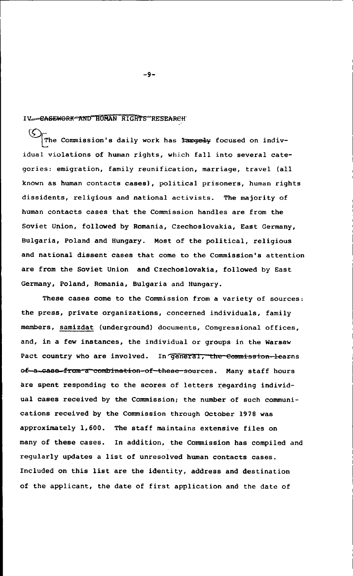#### IV-GASEWORK-AND HUMAN RIGHTS RESEARCH

EThe Commission's daily work has **:argely** focused on individual violations of human rights, which fall into several categories: emigration, family reunification, marriage, travel (all known as human contacts cases), political prisoners, human rights dissidents, religious and national activists. The majority of human contacts cases that the Commission handles are from the Soviet Union, followed by Romania, Czechoslovakia, East Germany, Bulgaria, Poland and Hungary. Most of the political, religious and national dissent cases that come to the Commission's attention are from the Soviet Union and Czechoslovakia, followed by East Germany, Poland, Romania, Bulgaria and Hungary.

These cases come to the Commission from a variety of sources: the press, private organizations, concerned individuals, family members, samizdat (underground) documents, Congressional offices, and, in a few instances, the individual or groups in the Warsaw Pact country who are involved. In general, the commission-learns of-a-case-from-a-combination-of-these-sources. Many staff hours are spent responding to the scores of letters regarding individual cases received by the Commission; the number of such communications received by the Commission through October 1978 was approximately 1,600. The staff maintains extensive files on many of these cases. In addition, the Commission has compiled and regularly updates a list of unresolved human contacts cases. Included on this list are the identity, address and destination of the applicant, the date of first application and the date of

-9-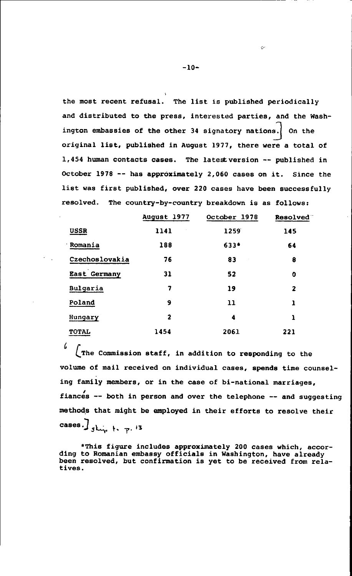the most recent refusal. The list is published periodically and distributed to the press, interested parties, and the Washington embassies of the other 34 signatory nations] On the original list, published in August 1977, there were a total of 1,454 human contacts cases. The latestversion -- published in October 1978 -- has approximately 2,060 cases on it. Since the list was first published, over 220 cases have been successfully resolved. The country-by-country breakdown is as follows:

|                     | August 1977 | October 1978 | Resolved |
|---------------------|-------------|--------------|----------|
| <b>USSR</b>         | 1141        | 1259         | 145      |
| Romania             | 188         | $633*$       | 64       |
| Czechoslovakia      | 76          | 83           | 8        |
| <b>East Germany</b> | 31          | 52           | 0        |
| Bulgaria            | 7           | 19           | 2        |
| Poland              | 9           | 11           | ı        |
| Hungary             | 2           | 4            | ı        |
| <b>TOTAL</b>        | 1454        | 2061         | 221      |

 $\int$   $\int$ The Commission staff, in addition to responding to the volume of mail received on individual cases, spends time counseling family members, or in the case of bi-national marriages, fiances -- both in person and over the telephone -- and suggesting methods that might be employed in their efforts to resolve their cases.]  $\int$   $\int$   $\int$   $\int$   $\int$   $\int$   $\frac{13}{2}$ 

\*This figure includes approximately 200 cases which, accor- ding to Romanian embassy officials in Washington, have already been resolved, but confirmation is yet to be received from relatives.

-10-

Ò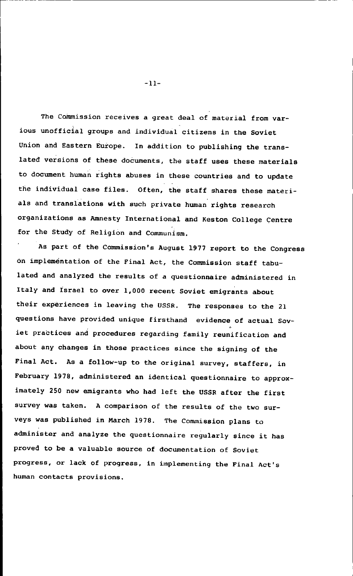The Commission receives a great deal of material from various unofficial groups and individual citizens in the Soviet Union and Eastern Europe. In addition to publishing the translated versions of these documents, the staff uses these materials to document human rights abuses in these countries and to update the individual case files. Often, the staff shares these materials and translations with such private human rights research organizations as Amnesty International and Keston College Centre for the Study of Religion and Communism.

As part of the Commission's August 1977 report to the Congress on implementation of the Final Act, the Commission staff tabulated and analyzed the results of a questionnaire administered in Italy and Israel to over 1,000 recent Soviet emigrants about their experiences in leaving the USSR. The responses to the 21 questions have provided unique firsthand evidence of actual Soviet practices and procedures regarding family reunification and about any changes in those practices since the signing of the Final Act. As a follow-up to the original survey, staffers, in February 1978, administered an identical questionnaire to approximately 250 new emigrants who had left the USSR after the first survey was taken. A comparison of the results of the two surveys was published in March 1978. The Commission plans to administer and analyze the questionnaire regularly since it has proved to be a valuable source of documentation of Soviet progress, or lack of progress, in implementing the Final Act's human contacts provisions.

-ii-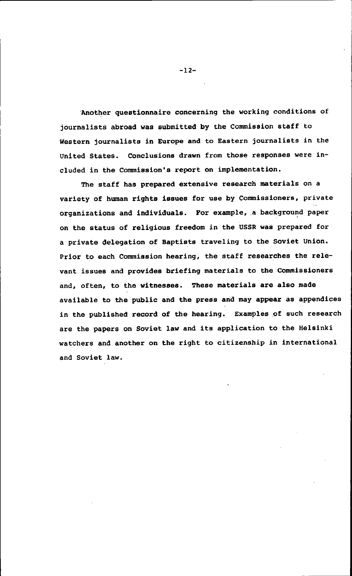Another questionnaire concerning the working conditions of journalists abroad was submitted by the Commission staff to Western journalists in Europe and to Eastern journalists in the United States. Conclusions drawn from those responses were included in the Commission's report on implementation.

The staff has prepared extensive research materials on a variety of human rights issues for use by Commissioners, private organizations and individuals. For example, a background paper on the status of religious freedom in the USSR was prepared for a private delegation of Baptists traveling to the Soviet Union. Prior to each Commission hearing, the staff researches the relevant issues and provides briefing materials to the Commissioners and, often, to the witnesses. These materials are also made available to the public and the press and may appear as appendices in the published record of the hearing. Examples of such research are the papers on Soviet law and its application to the Helsinki watchers and another on the right to citizenship in international and Soviet law.

-12-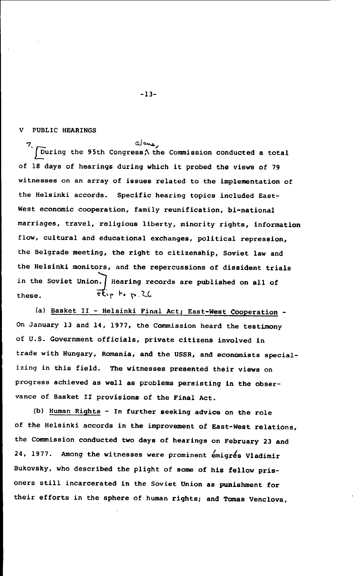#### V PUBLIC HEARINGS

alone.  $\sqrt{\frac{1}{2}}$  During the 95th Congress $\wedge$  the Commission conducted a total of 18 days of hearings during which it probed the views of 79 witnesses on an array of issues related to the implementation of the Helsinki accords. Specific hearing topics included East-West economic cooperation, family reunification, bi-national marriages, travel, religious liberty, minority rights, information flow, cultural and educational exchanges, political repression, the Belgrade meeting, the right to citizenship, Soviet law and the Helsinki monitors, and the repercussions of dissident trials in the Soviet Union. Hearing records are published on all of these.  $\vec{t}_{ip}$  to  $\vec{t}_{i}$ ,  $\lambda$ 

(a) Basket II - Helsinki Final Act; East-West Cooperation - On January 13 and 14, 1977, the Commission heard the testimony of U.S. Government officials, private citizens involved in trade with Hungary, Romania, and the USSR, and economists specializing in this field. The witnesses presented their views on progress achieved as well as problems persisting in the observance of Basket II provisions of the Final Act.

(b) Human Rights - In further seeking advice on the role of the Helsinki accords in the improvement of East-West relations, the Commission conducted two days of hearings on February 23 and 24, 1977. Among the witnesses were prominent emigres Vladimir Bukovsky, who described the plight of some of his fellow prisoners still incarcerated in the Soviet Union as punishment for their efforts in the sphere of human rights; and Tomas Venclova,

-13-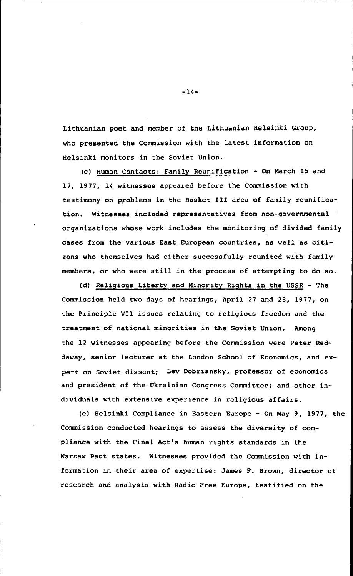Lithuanian poet and member of the Lithuanian Helsinki Group, who presented the Commission with the latest information on Helsinki monitors in the Soviet Union.

(c) Human Contacts: Family Reunification - On March 15 and 17, 1977, 14 witnesses appeared before the Commission with testimony on problems in the Basket III area of family reunification. Witnesses included representatives from non-governmental organizations whose work includes the monitoring of divided family cases from the various East European countries, as well as citizens who themselves had either successfully reunited with family members, or who were still in the process of attempting to do so.

(d) Religious Liberty and Minority Rights in the USSR - The Commission held two days of hearings, April 27 and 28, 1977, on the Principle VII issues relating to religious freedom and the treatment of national minorities in the Soviet Union. Among the 12 witnesses appearing before the Commission were Peter Reddaway, senior lecturer at the London School of Economics, and expert on Soviet dissent; Lev Dobriansky, professor of economics and president of the Ukrainian Congress Committee; and other individuals with extensive experience in religious affairs.

(e) Helsinki Compliance in Eastern Europe - On May 9, 1977, the Commission conducted hearings to assess the diversity of compliance with the Final Act's human rights standards in the Warsaw Pact states. Witnesses provided the Commission with information in their area of expertise: James F. Brown, director of research and analysis with Radio Free Europe, testified on the

-14-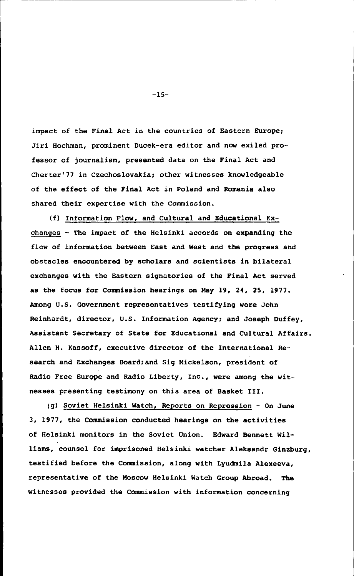impact of the Final Act in the countries of Eastern Europe; Jiri Hochman, prominent Ducek-era editor and now exiled professor of journalism, presented data on the Final Act and Cherter'77 in Czechoslovakia; other witnesses knowledgeable of the effect of the Final Act in Poland and Romania also shared their expertise with the Commission.

(f) Information Flow, and Cultural and Educational Exchanges - The impact of the Helsinki accords on expanding the flow of information between East and West and the progress and obstacles encountered by scholars and scientists in bilateral exchanges with the Eastern signatories of the Final Act served as the focus for Commission hearings on May 19, 24, 25, 1977. Among U.S. Government representatives testifying were John Reinhardt, director, U.S. Information Agency; and Joseph Duffey, Assistant Secretary of State for Educational and Cultural Affairs. Allen H. Kassoff, executive director of the International Research and Exchanges Board;and Sig Mickelson, president of Radio Free Europe and Radio Liberty, Inc., were among the witnesses presenting testimony on this area of Basket III.

(g) Soviet Helsinki Watch, Reports on Repression - On June 3, 1977, the Commission conducted hearings on the activities of Helsinki monitors in the Soviet Union. Edward Bennett Williams, counsel for imprisoned Helsinki watcher Aleksandr Ginzburg, testified before the Commission, along with Lyudmila Alexeeva, representative of the Moscow Helsinki Watch Group Abroad. The witnesses provided the Commission with information concerning

-15-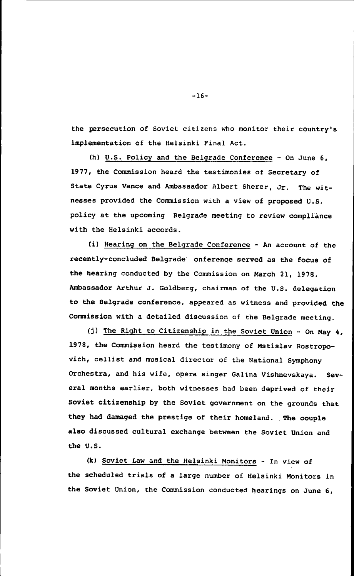the persecution of Soviet citizens who monitor their country's implementation of the Helsinki Final Act.

(h) U.S. Policy and the Belgrade Conference - On June 6, 1977, the Commission heard the testimonies of Secretary of State Cyrus Vance and Ambassador Albert Sherer, Jr. The witnesses provided the Commission with a view of proposed U.S. policy at the upcoming Belgrade meeting to review compliance with the Helsinki accords.

(i) Hearing on the Belgrade Conference - An account of the recently-concluded Belgrade onference served as the focus of the hearing conducted by the Commission on March 21, 1978. Ambassador Arthur J. Goldberg, chairman of the U.S. delegation to the Belgrade conference, appeared as witness and provided the Commission with a detailed discussion of the Belgrade meeting.

(j) The Right to Citizenship in the Soviet Union - On May 4, 1978, the Commission heard the testimony of Mstislav Rostropovich, cellist and musical director of the National Symphony Orchestra, and his wife, opera singer Galina Vishnevskaya. Several months earlier, both witnesses had been deprived of their Soviet citizenship by the Soviet government on the grounds that they had damaged the prestige of their homeland. The couple also discussed cultural exchange between the Soviet Union and the U.S.

(k) Soviet Law and the Helsinki Monitors - In view of the scheduled trials of a large number of Helsinki Monitors in the Soviet Union, the Commission conducted hearings on June 6,

-16-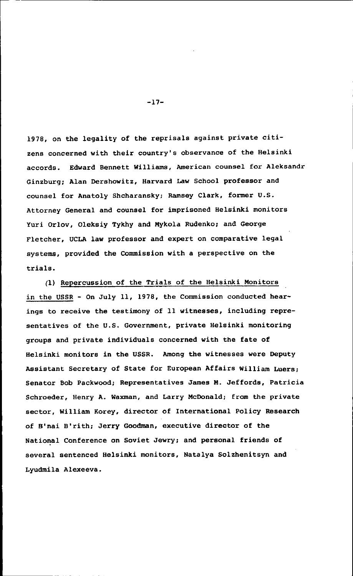1978, on the legality of the reprisals against private citizens concerned with their country's observance of the Helsinki accords. Edward Bennett Williams, American counsel for Aleksandr Ginzburg; Alan Dershowitz, Harvard Law School professor and counsel for Anatoly Shcharansky; Ramsey Clark, former U.S. Attorney General and counsel for imprisoned Helsinki monitors Yuri Orlov, Oleksiy Tykhy and Mykola Rudenko; and George Fletcher, UCLA law professor and expert on comparative legal systems, provided the Commission with a perspective on the trials.

(1) Repercussion of the Trials of the Helsinki Monitors in the USSR - On July 11, 1978, the Commission conducted hearings to receive the testimony of 11 witnesses, including representatives of the U.S. Government, private Helsinki monitoring groups and private individuals concerned with the fate of Helsinki monitors in the USSR. Among the witnesses were Deputy Assistant Secretary of State for European Affairs William Luers; Senator Bob Packwood; Representatives James M. Jeffords, Patricia Schroeder, Henry A. Waxman, and Larry McDonald; from the private sector, William Korey, director of International Policy Research of B'nai B'rith; Jerry Goodman, executive director of the National Conference on Soviet Jewry; and personal friends of several sentenced Helsinki monitors, Natalya Solzhenitsyn and Lyudmila Alexeeva.

-17-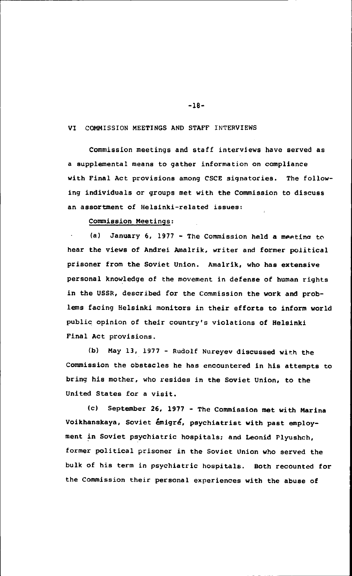#### VI COMMISSION MEETINGS AND STAFF INTERVIEWS

Commission meetings and staff interviews have served as a supplemental means to gather information on compliance with Final Act provisions among CSCE signatories. The following individuals or groups met with the Commission to discuss an assortment of Helsinki-related issues:

Commission Meetings:

(a) January 6, 1977 - The Commission held a meeting to hear the views of Andrei Amalrik, writer and former political prisoner from the Soviet Union. Amalrik, who has extensive personal knowledge of the movement in defense of human rights in the USSR, described for the Commission the work and problems facing Helsinki monitors in their efforts to inform world public opinion of their country's violations of Helsinki Final Act provisions.

(b) May 13, 1977 - Rudolf Nureyev discussed with the Commission the obstacles he has encountered in his attempts to bring his mother, who resides in the Soviet Union, to the United States for a visit.

(c) September 26, 1977 - The Commission met with Marina Voikhanskaya, Soviet emigre, psychiatrist with past employment in Soviet psychiatric hospitals; and Leonid Plyushch, former political prisoner in the Soviet Union who served the bulk of his term in psychiatric hospitals. Both recounted for the Commission their personal experiences with the abuse of

-18-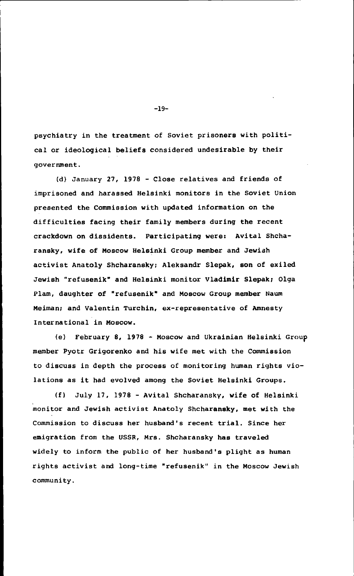psychiatry in the treatment of Soviet prisoners with political or ideological beliefs considered undesirable by their government.

(d) January 27, 1978 - Close relatives and friends of imprisoned and harassed Helsinki monitors in the Soviet Union presented the Commission with updated information on the difficulties facing their family members during the recent crackdown on dissidents. Participating were: Avital Shcharansky, wife of Moscow Helsinki Group member and Jewish activist Anatoly Shcharansky; Aleksandr Slepak, son of exiled Jewish "refusenik' and Helsinki monitor Vladimir Slepak; Olga Plan, daughter of 'refusenik' and Moscow Group member Naum Meiman; and Valentin Turchin, ex-representative of Amnesty International in Moscow.

(e) February 8, 1978 - Moscow and Ukrainian Helsinki Group member Pyotr Grigorenko and his wife met with the Commission to discuss in depth the process of monitoring human rights violations as it had evolved among the Soviet Helsinki Groups.

(f) July 17, 1978 - Avital Shcharansky, wife of Helsinki monitor and Jewish activist Anatoly Shcharansky, met with the Commission to discuss her husband's recent trial. Since her emigration from the USSR, Mrs. Shcharansky has traveled widely to inform the public of her husband's plight as human rights activist and long-time "refusenik" in the Moscow Jewish community.

-19-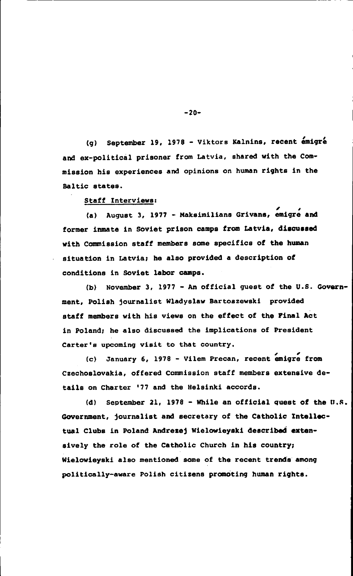(g) September 19, 1978 - Viktors Kalnins, recent emigre and ex-political prisoner from Latvia, shared with the Commission his experiences and opinions on human rights in the Baltic states.

Staff Interviews:

(a) August 3, 1977 - Maksimilians Grivans, emigre and former inmate in Soviet prison camps from Latvia, discussed with Commission staff members some specifics of the human situation in Latvia; he also provided a description of conditions in Soviet labor camps.

(b) November 3, 1977 - An official guest of the U.S. Government, Polish journalist Wladyslaw Bartoszewski provided staff members with his views on the effect of the Final Act in Poland; he also discussed the implications of President Carter's upcoming visit to that country.

(c) January 6, 1978 - Vilem Precan, recent emigre from Czechoslovakia, offered Commission staff members extensive details on Charter '77 and the Helsinki accords.

(d) September 21, 1978 - While an official quest of the U.S. Government, journalist and secretary of the Catholic Intellectual Clubs in Poland Andrezej Wielowieyski described extensively the role of the Catholic Church in his country; Wielowieyski also mentioned some of the recent trends among politically-aware Polish citizens promoting human rights.

 $-20-$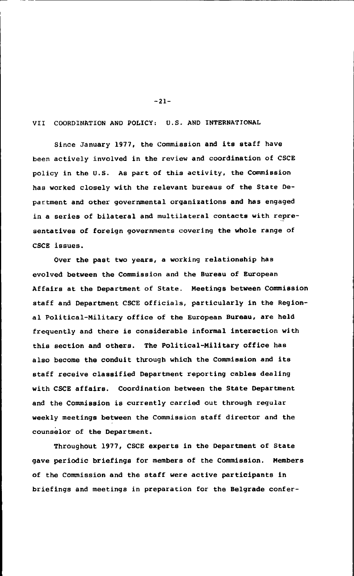VII COORDINATION AND POLICY; U.S. AND INTERNATIONAL

-21-

Since January 1977, the Commission and its staff have been actively involved in the review and coordination of CSCE policy in the U.S. As part of this activity, the Commission has worked closely with the relevant bureaus of the State Department and other governmental organizations and has engaged in a series of bilateral and multilateral contacts with representatives of foreign governments covering the whole range of CSCE issues.

Over the past two years, a working relationship has evolved between the Commission and the Bureau of European Affairs at the Department of State. Meetings between Commission staff and Department CSCE officials, particularly in the Regional Political-Military office of the European Bureau, are held frequently and there is considerable informal interaction with this section and others. The Political-Military office has also become the conduit through which the Commission and its staff receive classified Department reporting cables dealing with CSCE affairs. Coordination between the State Department and the Commission is currently carried out through regular weekly meetings between the Commission staff director and the counselor of the Department.

Throughout 1977, CSCE experts in the Department of State gave periodic briefings for members of the Commission. Members of the Commission and the staff were active participants in briefings and meetings in preparation for the Belgrade confer-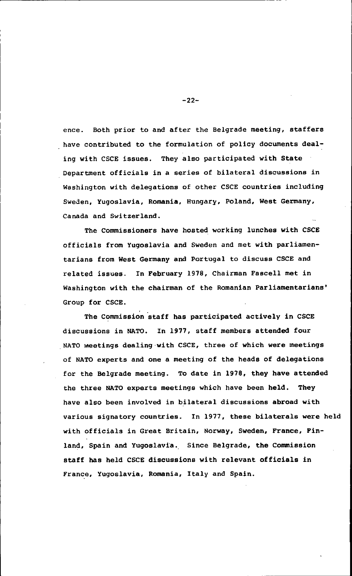ence. Both prior to and after the Belgrade meeting, staffers have contributed to the formulation of policy documents dealing with CSCE issues. They also participated with State Department officials in a series of bilateral discussions in Washington with delegations of other CSCE countries including Sweden, Yugoslavia, Romania, Hungary, Poland, West Germany, Canada and Switzerland.

The Commissioners have hosted working lunches with CSCE officials from Yugoslavia and Sweden and met with parliamentarians from West Germany and Portugal to discuss CSCE and related issues. In February 1978, Chairman Fascell met in Washington with the chairman of the Romanian Parliamentarians' Group for CSCE.

The Commission staff has participated actively in CSCE discussions in NATO. In 1977, staff members attended four NATO Meetings dealing with CSCE, three of which were meetings of NATO experts and one a meeting of the heads of delegations for the Belgrade meeting. To date in 1978, they have attended the three NATO experts meetings which have been held. They have also been involved in bilateral discussions abroad with various signatory countries. In 1977, these bilaterals were held with officials in Great Britain, Norway, Sweden, France, Finland, Spain and Yugoslavia. Since Belgrade, the Commission staff has held CSCE discussions with relevant officials in France, Yugoslavia, Romania, Italy and Spain.

-22-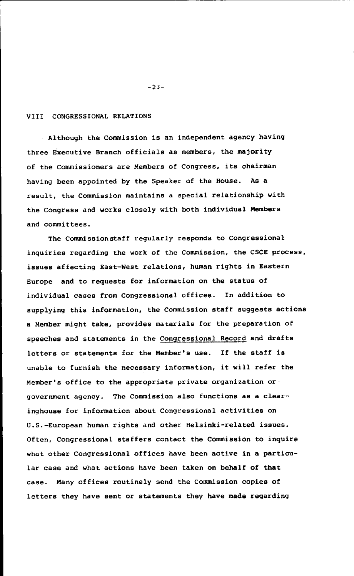#### VIII CONGRESSIONAL RELATIONS

Although the Commission is an independent agency having three Executive Branch officials as members, the majority of the Commissioners are Members of Congress, its chairman having been appointed by the Speaker of the House. As a result, the Commission maintains a special relationship with the Congress and works closely with both individual Members and committees.

The Commissionstaff regularly responds to Congressional inquiries regarding the work of the Commission, the CSCE process, issues affecting East-West relations, human rights in Eastern Europe and to requests for information on the status of individual cases from Congressional offices. In addition to supplying this information, the Commission staff suggests actions a Member might take, provides materials for the preparation of speeches and statements in the Congressional Record and drafts letters or statements for the Member's use. If the staff is unable to furnish the necessary information, it will refer the Member's office to the appropriate private organization or government agency. The Commission also functions as a clearinghouse for information about Congressional activities on U.S.-European human rights and other Helsinki-related issues. Often, Congressional staffers contact the Commission to inquire what other Congressional offices have been active in a particular case and what actions have been taken on behalf of that case. Many offices routinely send the Commission copies of letters they have sent or statements they have made regarding

-23-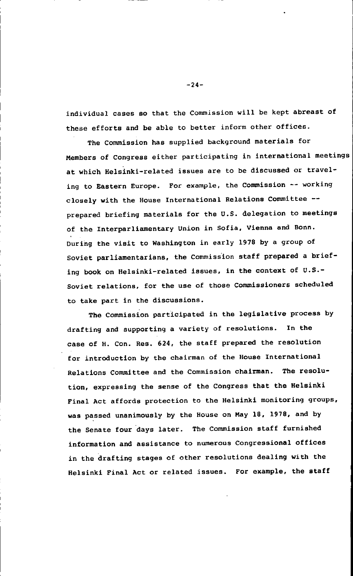individual cases so that the Commission will be kept abreast of these efforts and be able to better inform other offices.

The Commission has supplied background materials for Members of Congress either participating in international meetings at which Helsinki-related issues are to be discussed or traveling to Eastern Europe. For example, the Commission -- working closely with the House International Relations Committee - prepared briefing materials for the U.S. delegation to meetings of the Interparliamentary Union in Sofia, Vienna and Bonn. During the visit to Washington in early 1978 by a group of Soviet parliamentarians, the Commission staff prepared a briefing book on Helsinki-related issues, in the context of U.S.- Soviet relations, for the use of those Commissioners scheduled to take part in the discussions.

The Commission participated in the legislative process by drafting and supporting a variety of resolutions. In the case of H. Con. Res. 624, the staff prepared the resolution for introduction by the chairman of the House International Relations Committee and the Commission chairman. The resolution, expressing the sense of the Congress that the Helsinki Final Act affords protection to the Helsinki monitoring groups, was passed unanimously by the House on May 18, 1978, and by the Senate four days later. The Commission staff furnished information and assistance to numerous Congressional offices in the drafting stages of other resolutions dealing with the Helsinki Final Act or related issues. For example, the staff

-24-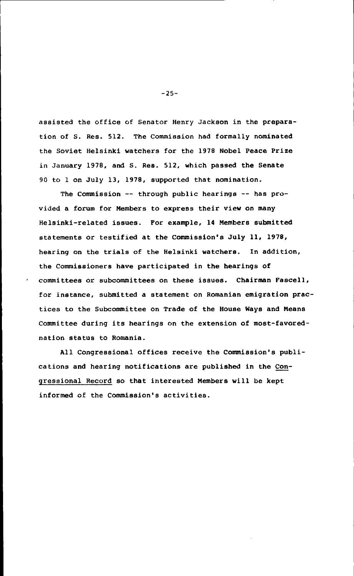assisted the office of Senator Henry Jackson in the preparation of S. Res. 512. The Commission had formally nominated the Soviet Helsinki watchers for the 1978 Nobel Peace Prize in January 1978, and S. Res. 512, which passed the Senate 90 to 1 on July 13, 1978, supported that nomination.

The Commission -- through public hearings -- has provided a forum for Members to express their view on many Helsinki-related issues. For example, 14 Members submitted statements or testified at the Commission's July 11, 1978, hearing on the trials of the Helsinki watchers. In addition, the Commissioners have participated in the hearings of committees or subcommittees on these issues. Chairman Fascell, for instance, submitted a statement on Romanian emigration practices to the Subcommittee on Trade of the House Ways and Means Committee during its hearings on the extension of most-favorednation status to Romania.

All Congressional offices receive the Commission's publications and hearing notifications are published in the Congressional Record so that interested Members will be kept informed of the Commission's activities.

-25-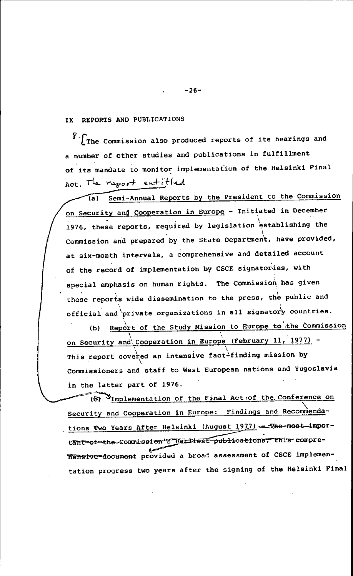IX REPORTS AND PUBLICATIONS

 $\sqrt[3]{T}$ The Commission also produced reports of its hearings and a number of other studies and publications in fulfillment of its mandate to monitor implementation of the Helsinki Final Act. The raport entitled

Semi-Annual Reports by the President to the Commission  $\overline{a}$ on Security and Cooperation in Europe - Initiated in December 1976, these reports, required by legislation establishing the Commission and prepared by the State Department, have provided, at six-month intervals, a comprehensive and detailed account of the record of implementation by CSCE signatories, with special emphasis on human rights. The Commission has given these reports wide dissemination to the press, the public and official and private organizations in all signatory countries.

(b) Report of the Study Mission to Europe to the Commission on Security and Cooperation in Europe (February 11, 1977) -This report covered an intensive fact<sup>2</sup>finding mission by Commissioners and staff to West European nations and Yugoslavia in the latter part of 1976.

(S) Unplementation of the Final Act of the Conference on Security and Cooperation in Europe: Findings and Recommendations Two Years After Helsinki (August 1977).---The-most-important-of-the-Commission"s garilest publications, this compre-**7Teffsive-document** provided a broad assessment of CSCE implementation progress two years after the signing of the Helsinki Final

-26-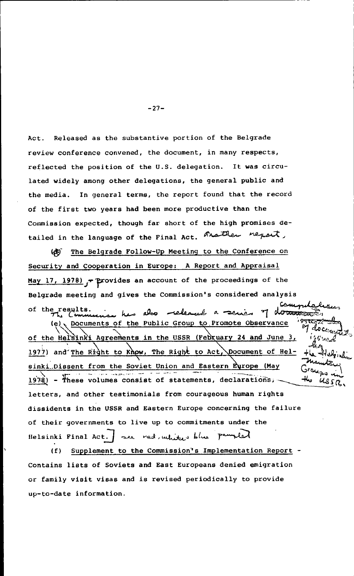Act. Released as the substantive portion of the Belgrade review conference convened, the document, in many respects, reflected the position of the U.S. delegation. It was circulated widely among other delegations, the general public and the media. In general terms, the report found that the record of the first two years had been more productive than the Commission expected, though far short of the high promises detailed in the language of the Final Act. And then nepart,

( $E$ ) The Belgrade Follow-Up Meeting to the Conference on Security and Cooperation in Europe: A Report and Appraisal May 17, 1978)  $\rightarrow$  Provides an account of the proceedings of the Belgrade meeting and gives the Commission's considered analysis سمت of the results. . . . . also released a series of documents  $(e)$ . Documents of the Public Group to Promote Observance of the Helsinki Agreements in the USSR (February 24 and June 3, 1977) and The Right to Khow, The Right to Act, Document of Helsinki Dissent from the Soviet Union and Eastern Europe (May  $k$ (1978) - These volumes consist of statements, declarations,  $k$ letters, and other testimonials from courageous human rights dissidents in the USSR and Eastern Europe concerning the failure of their governments to live up to commitments under the Helsinki Final Act. | we red, white blue paunled

(f) Supplement to the Commission's Implementation Report - Contains lists of Soviets and East Europeans denied emigration or family visit visas and is revised periodically to provide up-to-date information.

-27-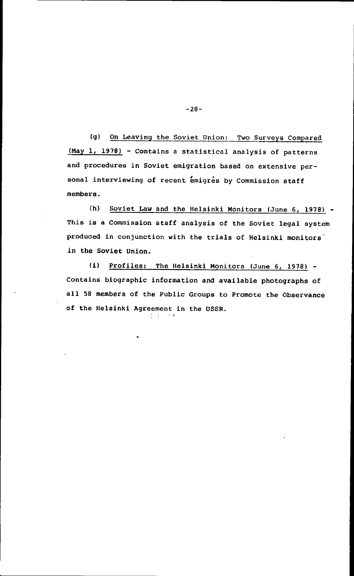(g) On Leaving the Soviet Union: Two Surveys Compared (May 1, 1978) - Contains a statistical analysis of patterns and procedures in Soviet emigration based on extensive personal interviewing of recent emigres by Commission staff members.

(h) Soviet Law and the Helsinki Monitors (June 6, 1978) - This is a Commission staff analysis of the Soviet legal system produced in conjunction with the trials of Helsinki monitors in the Soviet Union.

(i) Profiles: The Helsinki Monitors (June 6, 1978) - Contains biographic information and available photographs of all 58 members of the Public Groups to Promote the Observance of the Helsinki Agreement in the USSR.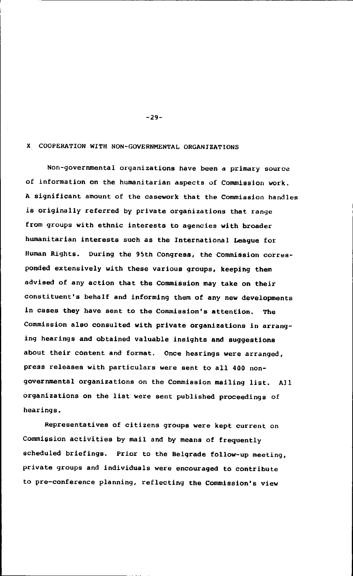#### X COOPERATION WITH NON-GOVERNMENTAL ORGANIZATIONS

Non-governmental organizations have been a primary source of information on the humanitarian aspects of Commission work. A significant amount of the casework that the Commission handles is originally referred by private organizations that range from groups with ethnic interests to agencies with broader humanitarian interests such as the International League for Human Rights. During the 95th Congress, the Commission corresponded extensively with these various groups, keeping them advised of any action that the Commission may take on their constituent's behalf and informing them of any new developments in cases they have sent to the Commission's attention. The Commission also consulted with private organizations in arranging hearings and obtained valuable insights and suggestions about their content and format. Once hearings were arranged, press releases with particulars were sent to all 400 nongovernmental organizations on the Commission mailing list. All organizations on the list were sent published proceedings of hearings.

Representatives of citizens groups were kept current on Commission activities by mail and by means of frequently scheduled briefings. Prior to the Belgrade follow-up meeting, private groups and individuals were encouraged to contribute to pre-conference planning, reflecting the Commission's view

-29-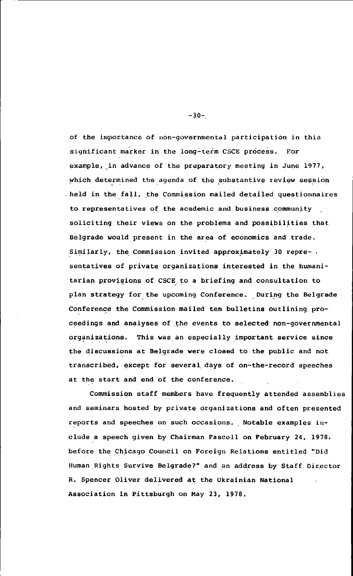of the importance of non-governmental participation in this significant marker in the long-term CSCE process. For example, in advance of the preparatory meeting in June 1977, which determined the agenda of the substantive review session held in the fall, the Commission mailed detailed questionnaires to representatives of the academic and business community soliciting their views on the problems and.possibilities that Belgrade would present in the area of economics and trade. Similarly, the Commission invited approximately 30 representatives of private organizations interested in the humanitarian provisions of CSCE to a briefing and consultation to plan strategy for the upcoming Conference. During the Belgrade Conference the Commission mailed ten bulletins outlining proceedings and analyses of the events to selected non-governmental organizations. This was an especially important service since the discussions at Belgrade were closed to the public and not transcribed, except for several. days of on-the-record speeches at the start and end of the conference.

Commission staff members have frequently attended assemblies and seminars hosted by private organizations and often presented reports and speeches on such occasions. Notable examples include a speech given by Chairman Fascell on February 24, 1978, before the Chicago Council on Foreign Relations entitled "Did Human Rights Survive Belgrade?" and an address by Staff. Director R. Spencer Oliver delivered at the Ukrainian National Association in Pittsburgh on May 23, 1978.

-30-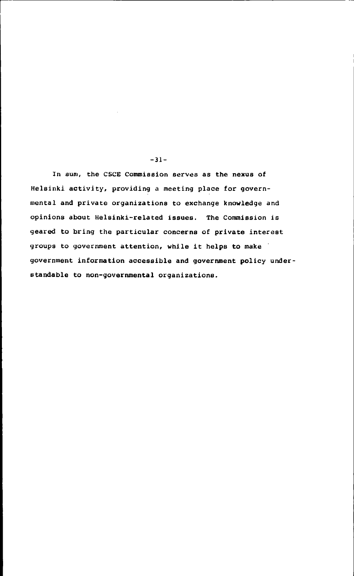In sum, the CSCE Commission serves as the nexus of Helsinki activity, providing a meeting place for governmental and private organizations to exchange knowledge and opinions about Helsinki-related issues. The Commission is geared to bring the particular concerns of private interest groups to government attention, while it helps to make government information accessible and government policy understandable to non-governmental organizations.

-31-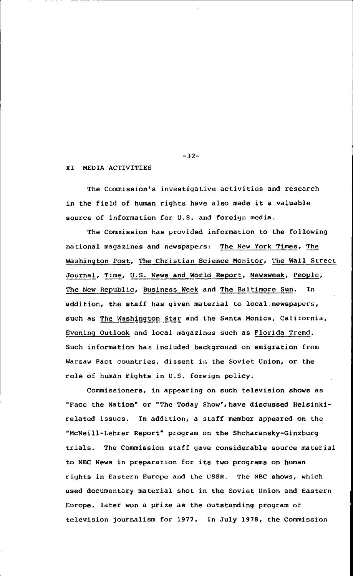#### XI MEDIA ACTIVITIES

The Commission's investigative activities and research in the field of human rights have also made it a valuable source of information for U.S. and foreign media.

The Commission has provided information to the following national magazines and newspapers: The New York Times, The Washington Post, The Christian Science Monitor, The Wall Street Journal, Time, U.S. News and World Report, Newsweek, People, The New Republic, Business Week and The Baltimore Sun. In addition, the staff has given material to local newspapers, such as The Washington Star and the Santa Monica, California, Evening Outlook and local magazines such as Florida Trend. Such information has included background on emigration from Warsaw Pact countries, dissent in the Soviet Union, or the role of human rights in U.S. foreign policy.

Commissioners, in appearing on such television shows as "Face the Nation" or "The Today Show", have discussed Helsinkirelated issues. In addition, a staff member appeared on the "McNeill-Lehrer Report' program on the Shcharansky-Ginzburg trials. The Commission staff gave considerable source material to NBC News in preparation for its two programs on human rights in Eastern Europe and the USSR. The NBC shows, which used documentary material shot in the Soviet Union and Eastern Europe, later won a prize as the outstanding program of television journalism for 1977. In July 1978, the Commission

-32-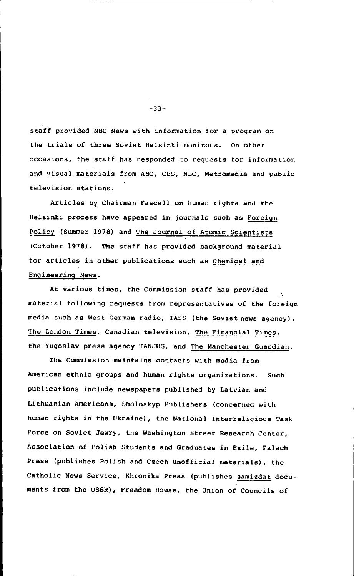staff provided NBC News with information for a program on the trials of three Soviet Helsinki monitors. On other occasions, the staff has responded to requests for information and visual materials from ABC, CBS, NBC, Metromedia and public television stations.

Articles by Chairman Fascell on human rights and the Helsinki process have appeared in journals such as Foreign Policy (Summer 1978) and The Journal of Atomic Scientists (October 1978). The staff has provided background material for articles in other publications such as Chemical and Engineering News.

At various times, the Commission staff has provided material following requests from representatives of the foreign media such as West German radio, TASS (the Soviet news agency), The London Times, Canadian television, The Financial Times, the Yugoslav press agency TANJUG, and The Manchester Guardian.

The Commission maintains contacts with media from American ethnic groups and human rights organizations. Such publications include newspapers published by Latvian and Lithuanian Americans, Smoloskyp Publishers (concerned with human rights in the Ukraine), the National Interreligious Task Force on Soviet Jewry, the Washington Street Research Center, Association of Polish Students and Graduates in Exile, Palach Press (publishes Polish and Czech unofficial materials), the Catholic News Service, Khronika Press (publishes samizdat documents from the USSR), Freedom House, the Union of Councils of

-33-